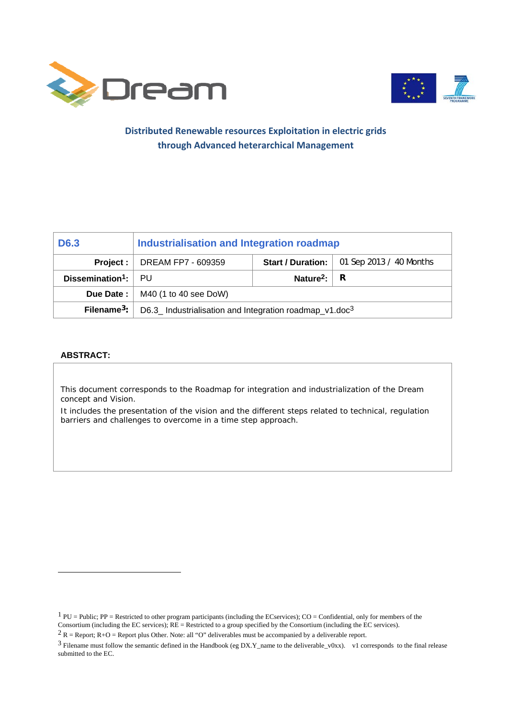



### **Distributed Renewable resources Exploitation in electric grids through Advanced heterarchical Management**

| D <sub>6.3</sub>                    | Industrialisation and Integration roadmap                           |                               |                         |
|-------------------------------------|---------------------------------------------------------------------|-------------------------------|-------------------------|
|                                     | <b>Project:</b> $\vert$ DREAM FP7 - 609359                          | Start / Duration:             | 01 Sep 2013 / 40 Months |
| Dissemination <sup>1</sup> : $ $ PU |                                                                     | Nature <sup>2</sup> : $\vert$ | R                       |
|                                     | <b>Due Date:</b> $\vert$ M40 (1 to 40 see DoW)                      |                               |                         |
| Filename <sup>3</sup> : $\vert$     | D6.3_ Industrialisation and Integration roadmap_v1.doc <sup>3</sup> |                               |                         |

#### **ABSTRACT:**

l

This document corresponds to the Roadmap for integration and industrialization of the Dream concept and Vision.

It includes the presentation of the vision and the different steps related to technical, regulation barriers and challenges to overcome in a time step approach.

 $1$  PU = Public; PP = Restricted to other program participants (including the ECservices); CO = Confidential, only for members of the Consortium (including the EC services);  $RE =$  Restricted to a group specified by the Consortium (including the EC services).

 $2 R =$  Report; R+O = Report plus Other. Note: all "O" deliverables must be accompanied by a deliverable report.

<sup>3</sup> Filename must follow the semantic defined in the Handbook (eg DX.Y\_name to the deliverable\_v0xx). v1 corresponds to the final release submitted to the EC.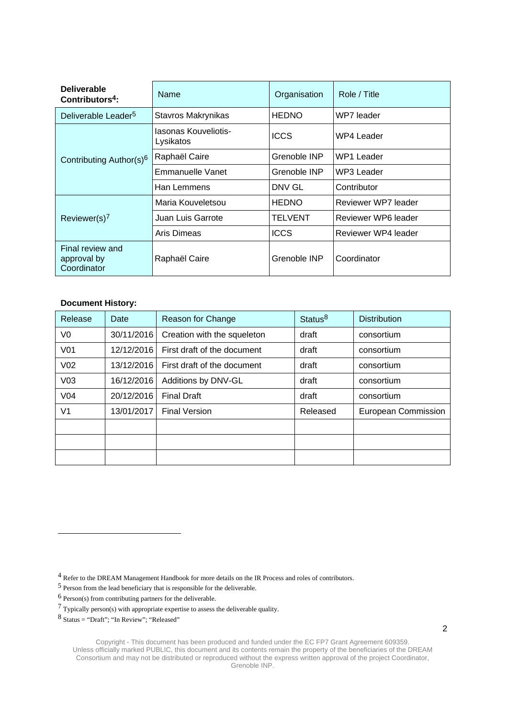| <b>Deliverable</b><br>Contributors <sup>4</sup> : | Name                              | Organisation | Role / Title        |
|---------------------------------------------------|-----------------------------------|--------------|---------------------|
| Deliverable Leader <sup>5</sup>                   | Stavros Makrynikas                | <b>HEDNO</b> | WP7 leader          |
|                                                   | Iasonas Kouveliotis-<br>Lysikatos | <b>ICCS</b>  | WP4 Leader          |
| Contributing Author(s) <sup>6</sup>               | Raphaël Caire                     | Grenoble INP | <b>WP1 Leader</b>   |
|                                                   | Emmanuelle Vanet                  | Grenoble INP | WP3 Leader          |
|                                                   | Han Lemmens                       | DNV GL       | Contributor         |
|                                                   | Maria Kouveletsou                 | <b>HEDNO</b> | Reviewer WP7 leader |
| Reviewer(s) $7$                                   | Juan Luis Garrote                 | TELVENT      | Reviewer WP6 leader |
|                                                   | Aris Dimeas                       | <b>ICCS</b>  | Reviewer WP4 leader |
| Final review and<br>approval by<br>Coordinator    | Raphaël Caire                     | Grenoble INP | Coordinator         |

#### **Document History:**

| Release         | Date       | Reason for Change           | Status <sup>8</sup> | <b>Distribution</b> |
|-----------------|------------|-----------------------------|---------------------|---------------------|
| V0              | 30/11/2016 | Creation with the squeleton | draft               | consortium          |
| V <sub>01</sub> | 12/12/2016 | First draft of the document | draft               | consortium          |
| V <sub>02</sub> | 13/12/2016 | First draft of the document | draft               | consortium          |
| V <sub>03</sub> | 16/12/2016 | Additions by DNV-GL         | draft               | consortium          |
| V <sub>04</sub> | 20/12/2016 | <b>Final Draft</b>          | draft               | consortium          |
| V <sub>1</sub>  | 13/01/2017 | <b>Final Version</b>        | Released            | European Commission |
|                 |            |                             |                     |                     |
|                 |            |                             |                     |                     |
|                 |            |                             |                     |                     |

4 Refer to the DREAM Management Handbook for more details on the IR Process and roles of contributors.

- 5 Person from the lead beneficiary that is responsible for the deliverable.
- 6 Person(s) from contributing partners for the deliverable.

l

<sup>7</sup> Typically person(s) with appropriate expertise to assess the deliverable quality.

 $8$  Status = "Draft"; "In Review"; "Released"

Copyright - This document has been produced and funded under the EC FP7 Grant Agreement 609359. Unless officially marked PUBLIC, this document and its contents remain the property of the beneficiaries of the DREAM Consortium and may not be distributed or reproduced without the express written approval of the project Coordinator, Grenoble INP.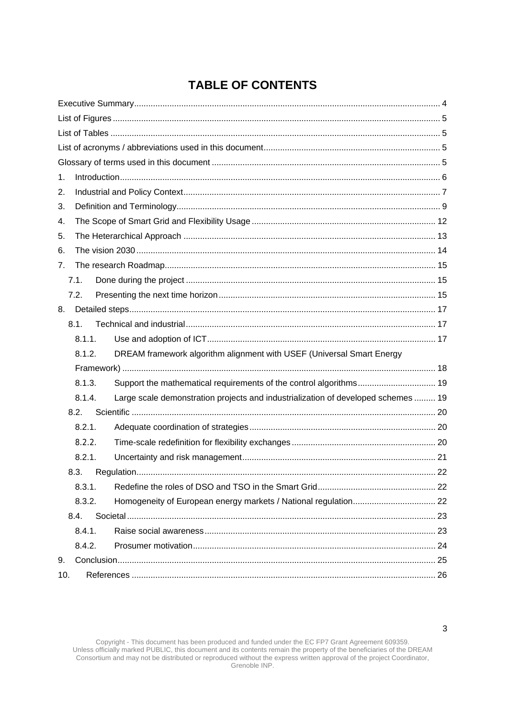# **TABLE OF CONTENTS**

| 1.             |        |                                                                                   |  |
|----------------|--------|-----------------------------------------------------------------------------------|--|
| 2.             |        |                                                                                   |  |
| 3.             |        |                                                                                   |  |
| 4.             |        |                                                                                   |  |
| 5.             |        |                                                                                   |  |
| 6.             |        |                                                                                   |  |
| 7 <sub>1</sub> |        |                                                                                   |  |
|                | 7.1.   |                                                                                   |  |
|                | 7.2.   |                                                                                   |  |
|                |        |                                                                                   |  |
|                | 8.1.   |                                                                                   |  |
|                | 8.1.1. |                                                                                   |  |
|                | 8.1.2. | DREAM framework algorithm alignment with USEF (Universal Smart Energy             |  |
|                |        |                                                                                   |  |
|                | 8.1.3. | Support the mathematical requirements of the control algorithms 19                |  |
|                | 8.1.4. | Large scale demonstration projects and industrialization of developed schemes  19 |  |
|                | 8.2.   |                                                                                   |  |
|                | 8.2.1. |                                                                                   |  |
|                | 8.2.2. |                                                                                   |  |
|                | 8.2.1. |                                                                                   |  |
|                | 8.3.   |                                                                                   |  |
|                | 8.3.1. |                                                                                   |  |
|                | 8.3.2. |                                                                                   |  |
|                | 8.4.   |                                                                                   |  |
|                | 8.4.1. |                                                                                   |  |
|                | 8.4.2. |                                                                                   |  |
| 9.             |        |                                                                                   |  |
| 10.            |        |                                                                                   |  |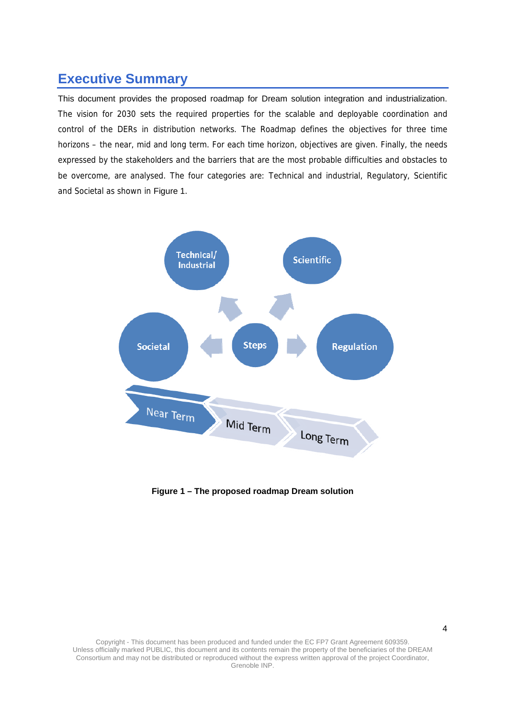## **Executive Summary**

This document provides the proposed roadmap for Dream solution integration and industrialization. The vision for 2030 sets the required properties for the scalable and deployable coordination and control of the DERs in distribution networks. The Roadmap defines the objectives for three time horizons – the near, mid and long term. For each time horizon, objectives are given. Finally, the needs expressed by the stakeholders and the barriers that are the most probable difficulties and obstacles to be overcome, are analysed. The four categories are: Technical and industrial, Regulatory, Scientific and Societal as shown in Figure 1.



**Figure 1 – The proposed roadmap Dream solution**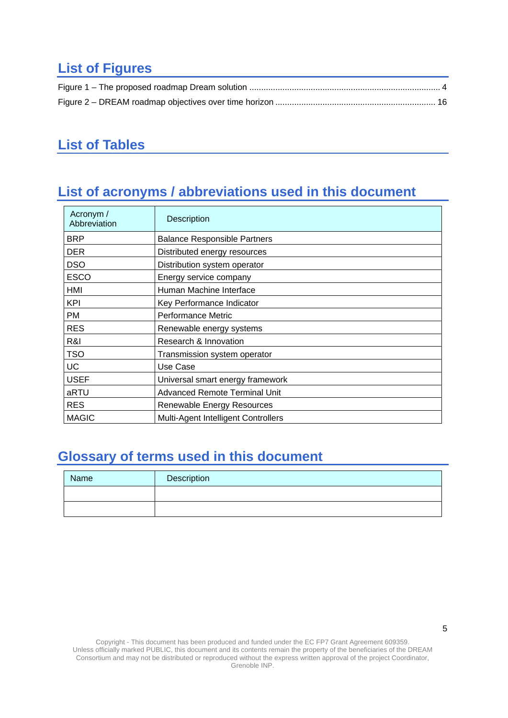# **List of Figures**

## **List of Tables**

# **List of acronyms / abbreviations used in this document**

| Acronym /<br>Abbreviation | Description                          |
|---------------------------|--------------------------------------|
| <b>BRP</b>                | <b>Balance Responsible Partners</b>  |
| <b>DER</b>                | Distributed energy resources         |
| <b>DSO</b>                | Distribution system operator         |
| <b>ESCO</b>               | Energy service company               |
| HMI                       | Human Machine Interface              |
| KPI                       | Key Performance Indicator            |
| РM                        | Performance Metric                   |
| <b>RES</b>                | Renewable energy systems             |
| R&I                       | Research & Innovation                |
| <b>TSO</b>                | Transmission system operator         |
| UC                        | Use Case                             |
| <b>USEF</b>               | Universal smart energy framework     |
| aRTU                      | <b>Advanced Remote Terminal Unit</b> |
| <b>RES</b>                | Renewable Energy Resources           |
| <b>MAGIC</b>              | Multi-Agent Intelligent Controllers  |

# **Glossary of terms used in this document**

| Name | Description |
|------|-------------|
|      |             |
|      |             |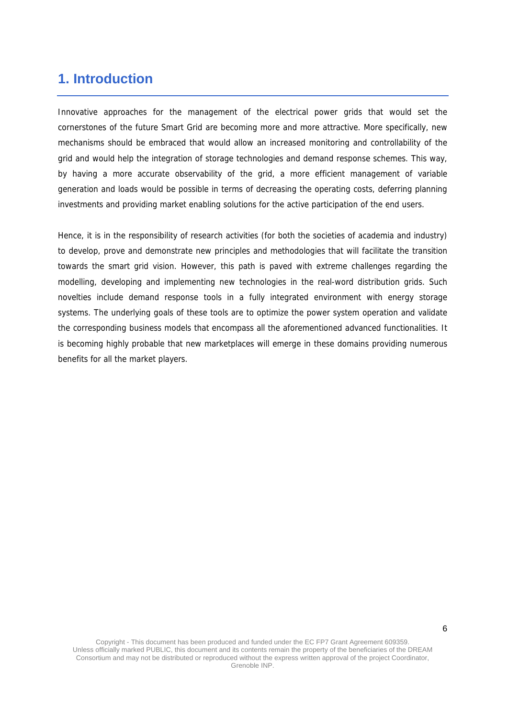## **1. Introduction**

Innovative approaches for the management of the electrical power grids that would set the cornerstones of the future Smart Grid are becoming more and more attractive. More specifically, new mechanisms should be embraced that would allow an increased monitoring and controllability of the grid and would help the integration of storage technologies and demand response schemes. This way, by having a more accurate observability of the grid, a more efficient management of variable generation and loads would be possible in terms of decreasing the operating costs, deferring planning investments and providing market enabling solutions for the active participation of the end users.

Hence, it is in the responsibility of research activities (for both the societies of academia and industry) to develop, prove and demonstrate new principles and methodologies that will facilitate the transition towards the smart grid vision. However, this path is paved with extreme challenges regarding the modelling, developing and implementing new technologies in the real-word distribution grids. Such novelties include demand response tools in a fully integrated environment with energy storage systems. The underlying goals of these tools are to optimize the power system operation and validate the corresponding business models that encompass all the aforementioned advanced functionalities. It is becoming highly probable that new marketplaces will emerge in these domains providing numerous benefits for all the market players.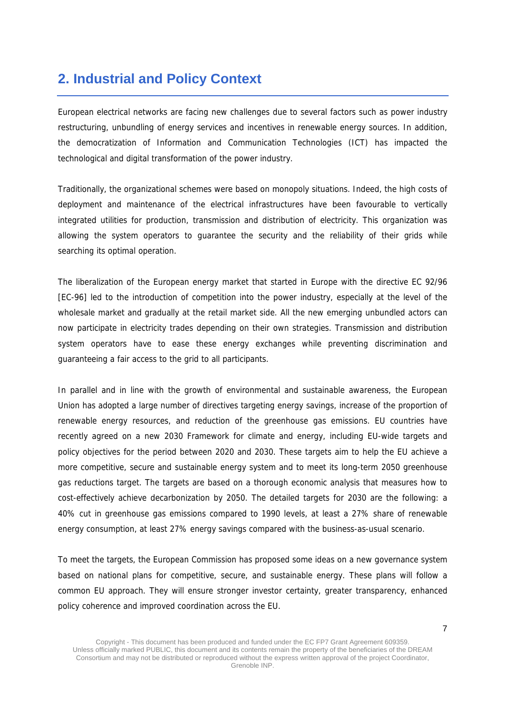## **2. Industrial and Policy Context**

European electrical networks are facing new challenges due to several factors such as power industry restructuring, unbundling of energy services and incentives in renewable energy sources. In addition, the democratization of Information and Communication Technologies (ICT) has impacted the technological and digital transformation of the power industry.

Traditionally, the organizational schemes were based on monopoly situations. Indeed, the high costs of deployment and maintenance of the electrical infrastructures have been favourable to vertically integrated utilities for production, transmission and distribution of electricity. This organization was allowing the system operators to guarantee the security and the reliability of their grids while searching its optimal operation.

The liberalization of the European energy market that started in Europe with the directive EC 92/96 [EC-96] led to the introduction of competition into the power industry, especially at the level of the wholesale market and gradually at the retail market side. All the new emerging unbundled actors can now participate in electricity trades depending on their own strategies. Transmission and distribution system operators have to ease these energy exchanges while preventing discrimination and guaranteeing a fair access to the grid to all participants.

In parallel and in line with the growth of environmental and sustainable awareness, the European Union has adopted a large number of directives targeting energy savings, increase of the proportion of renewable energy resources, and reduction of the greenhouse gas emissions. EU countries have recently agreed on a new 2030 Framework for climate and energy, including EU-wide targets and policy objectives for the period between 2020 and 2030. These targets aim to help the EU achieve a more competitive, secure and sustainable energy system and to meet its long-term 2050 greenhouse gas reductions target. The targets are based on a thorough economic analysis that measures how to cost-effectively achieve decarbonization by 2050. The detailed targets for 2030 are the following: a 40% cut in greenhouse gas emissions compared to 1990 levels, at least a 27% share of renewable energy consumption, at least 27% energy savings compared with the business-as-usual scenario.

To meet the targets, the European Commission has proposed some ideas on a new governance system based on national plans for competitive, secure, and sustainable energy. These plans will follow a common EU approach. They will ensure stronger investor certainty, greater transparency, enhanced policy coherence and improved coordination across the EU.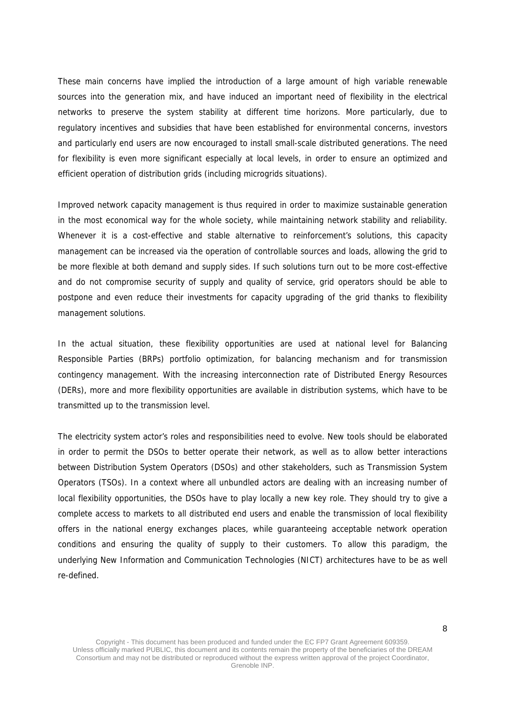These main concerns have implied the introduction of a large amount of high variable renewable sources into the generation mix, and have induced an important need of flexibility in the electrical networks to preserve the system stability at different time horizons. More particularly, due to regulatory incentives and subsidies that have been established for environmental concerns, investors and particularly end users are now encouraged to install small-scale distributed generations. The need for flexibility is even more significant especially at local levels, in order to ensure an optimized and efficient operation of distribution grids (including microgrids situations).

Improved network capacity management is thus required in order to maximize sustainable generation in the most economical way for the whole society, while maintaining network stability and reliability. Whenever it is a cost-effective and stable alternative to reinforcement's solutions, this capacity management can be increased via the operation of controllable sources and loads, allowing the grid to be more flexible at both demand and supply sides. If such solutions turn out to be more cost-effective and do not compromise security of supply and quality of service, grid operators should be able to postpone and even reduce their investments for capacity upgrading of the grid thanks to flexibility management solutions.

In the actual situation, these flexibility opportunities are used at national level for Balancing Responsible Parties (BRPs) portfolio optimization, for balancing mechanism and for transmission contingency management. With the increasing interconnection rate of Distributed Energy Resources (DERs), more and more flexibility opportunities are available in distribution systems, which have to be transmitted up to the transmission level.

The electricity system actor's roles and responsibilities need to evolve. New tools should be elaborated in order to permit the DSOs to better operate their network, as well as to allow better interactions between Distribution System Operators (DSOs) and other stakeholders, such as Transmission System Operators (TSOs). In a context where all unbundled actors are dealing with an increasing number of local flexibility opportunities, the DSOs have to play locally a new key role. They should try to give a complete access to markets to all distributed end users and enable the transmission of local flexibility offers in the national energy exchanges places, while guaranteeing acceptable network operation conditions and ensuring the quality of supply to their customers. To allow this paradigm, the underlying New Information and Communication Technologies (NICT) architectures have to be as well re-defined.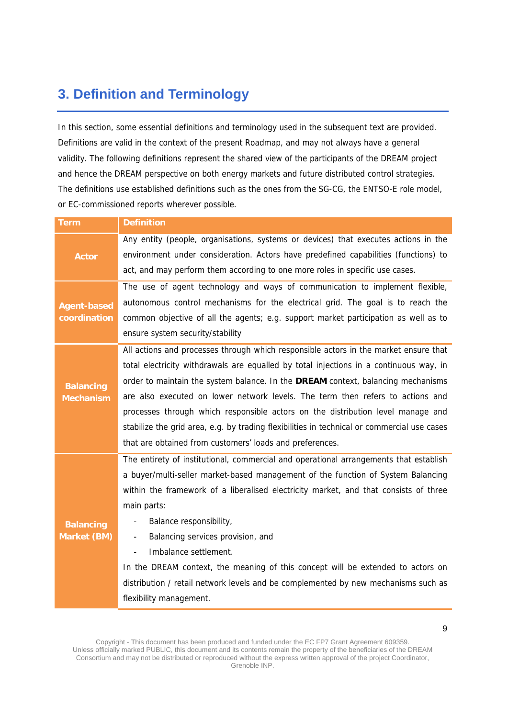# **3. Definition and Terminology**

In this section, some essential definitions and terminology used in the subsequent text are provided. Definitions are valid in the context of the present Roadmap, and may not always have a general validity. The following definitions represent the shared view of the participants of the DREAM project and hence the DREAM perspective on both energy markets and future distributed control strategies. The definitions use established definitions such as the ones from the SG-CG, the ENTSO-E role model, or EC-commissioned reports wherever possible.

| <b>Term</b>                            | <b>Definition</b>                                                                                                                                                                                                                                                                                                                                                                                                                                                                                                                                                                                  |
|----------------------------------------|----------------------------------------------------------------------------------------------------------------------------------------------------------------------------------------------------------------------------------------------------------------------------------------------------------------------------------------------------------------------------------------------------------------------------------------------------------------------------------------------------------------------------------------------------------------------------------------------------|
| <b>Actor</b>                           | Any entity (people, organisations, systems or devices) that executes actions in the<br>environment under consideration. Actors have predefined capabilities (functions) to                                                                                                                                                                                                                                                                                                                                                                                                                         |
|                                        | act, and may perform them according to one more roles in specific use cases.                                                                                                                                                                                                                                                                                                                                                                                                                                                                                                                       |
| <b>Agent-based</b><br>coordination     | The use of agent technology and ways of communication to implement flexible,<br>autonomous control mechanisms for the electrical grid. The goal is to reach the<br>common objective of all the agents; e.g. support market participation as well as to<br>ensure system security/stability                                                                                                                                                                                                                                                                                                         |
| <b>Balancing</b><br><b>Mechanism</b>   | All actions and processes through which responsible actors in the market ensure that<br>total electricity withdrawals are equalled by total injections in a continuous way, in<br>order to maintain the system balance. In the DREAM context, balancing mechanisms<br>are also executed on lower network levels. The term then refers to actions and<br>processes through which responsible actors on the distribution level manage and<br>stabilize the grid area, e.g. by trading flexibilities in technical or commercial use cases<br>that are obtained from customers' loads and preferences. |
| <b>Balancing</b><br><b>Market (BM)</b> | The entirety of institutional, commercial and operational arrangements that establish<br>a buyer/multi-seller market-based management of the function of System Balancing<br>within the framework of a liberalised electricity market, and that consists of three<br>main parts:<br>Balance responsibility,<br>-<br>Balancing services provision, and<br>۰<br>Imbalance settlement.<br>In the DREAM context, the meaning of this concept will be extended to actors on<br>distribution / retail network levels and be complemented by new mechanisms such as<br>flexibility management.            |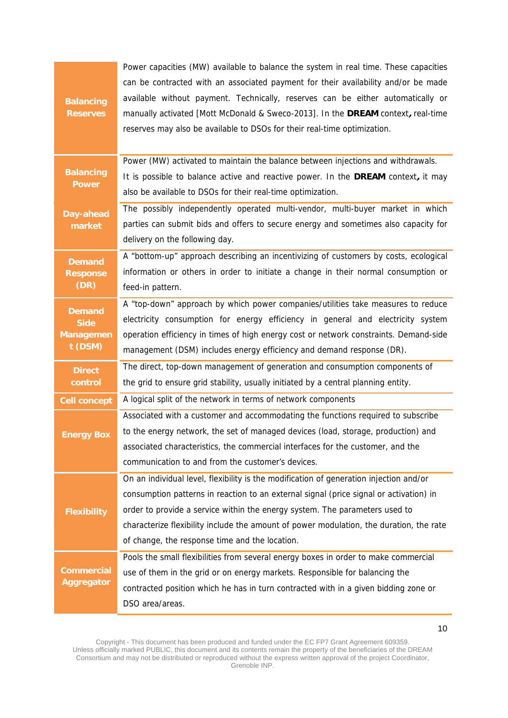|                     | Power capacities (MW) available to balance the system in real time. These capacities    |
|---------------------|-----------------------------------------------------------------------------------------|
|                     | can be contracted with an associated payment for their availability and/or be made      |
| <b>Balancing</b>    | available without payment. Technically, reserves can be either automatically or         |
| <b>Reserves</b>     | manually activated [Mott McDonald & Sweco-2013]. In the DREAM context, real-time        |
|                     | reserves may also be available to DSOs for their real-time optimization.                |
|                     |                                                                                         |
|                     | Power (MW) activated to maintain the balance between injections and withdrawals.        |
| <b>Balancing</b>    | It is possible to balance active and reactive power. In the DREAM context, it may       |
| <b>Power</b>        | also be available to DSOs for their real-time optimization.                             |
| Day-ahead           | The possibly independently operated multi-vendor, multi-buyer market in which           |
| market              | parties can submit bids and offers to secure energy and sometimes also capacity for     |
|                     | delivery on the following day.                                                          |
| <b>Demand</b>       | A "bottom-up" approach describing an incentivizing of customers by costs, ecological    |
| <b>Response</b>     | information or others in order to initiate a change in their normal consumption or      |
| (DR)                | feed-in pattern.                                                                        |
| <b>Demand</b>       | A "top-down" approach by which power companies/utilities take measures to reduce        |
| <b>Side</b>         | electricity consumption for energy efficiency in general and electricity system         |
| <b>Managemen</b>    | operation efficiency in times of high energy cost or network constraints. Demand-side   |
| t (DSM)             | management (DSM) includes energy efficiency and demand response (DR).                   |
| <b>Direct</b>       | The direct, top-down management of generation and consumption components of             |
| control             | the grid to ensure grid stability, usually initiated by a central planning entity.      |
| <b>Cell concept</b> | A logical split of the network in terms of network components                           |
|                     | Associated with a customer and accommodating the functions required to subscribe        |
| <b>Energy Box</b>   | to the energy network, the set of managed devices (load, storage, production) and       |
|                     | associated characteristics, the commercial interfaces for the customer, and the         |
|                     | communication to and from the customer's devices.                                       |
|                     | On an individual level, flexibility is the modification of generation injection and/or  |
|                     | consumption patterns in reaction to an external signal (price signal or activation) in  |
| <b>Flexibility</b>  | order to provide a service within the energy system. The parameters used to             |
|                     | characterize flexibility include the amount of power modulation, the duration, the rate |
|                     | of change, the response time and the location.                                          |
|                     | Pools the small flexibilities from several energy boxes in order to make commercial     |
| <b>Commercial</b>   | use of them in the grid or on energy markets. Responsible for balancing the             |
| <b>Aggregator</b>   | contracted position which he has in turn contracted with in a given bidding zone or     |
|                     | DSO area/areas.                                                                         |

Copyright - This document has been produced and funded under the EC FP7 Grant Agreement 609359. Unless officially marked PUBLIC, this document and its contents remain the property of the beneficiaries of the DREAM Consortium and may not be distributed or reproduced without the express written approval of the project Coordinator, Grenoble INP.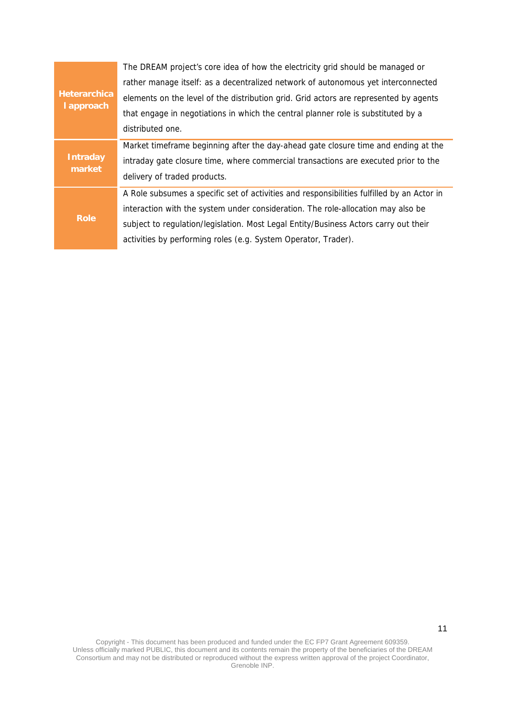| <b>Heterarchica</b><br>I approach | The DREAM project's core idea of how the electricity grid should be managed or             |
|-----------------------------------|--------------------------------------------------------------------------------------------|
|                                   | rather manage itself: as a decentralized network of autonomous yet interconnected          |
|                                   | elements on the level of the distribution grid. Grid actors are represented by agents      |
|                                   | that engage in negotiations in which the central planner role is substituted by a          |
|                                   | distributed one.                                                                           |
| <b>Intraday</b><br>market         | Market timeframe beginning after the day-ahead gate closure time and ending at the         |
|                                   | intraday gate closure time, where commercial transactions are executed prior to the        |
|                                   | delivery of traded products.                                                               |
| <b>Role</b>                       | A Role subsumes a specific set of activities and responsibilities fulfilled by an Actor in |
|                                   | interaction with the system under consideration. The role-allocation may also be           |
|                                   | subject to regulation/legislation. Most Legal Entity/Business Actors carry out their       |
|                                   | activities by performing roles (e.g. System Operator, Trader).                             |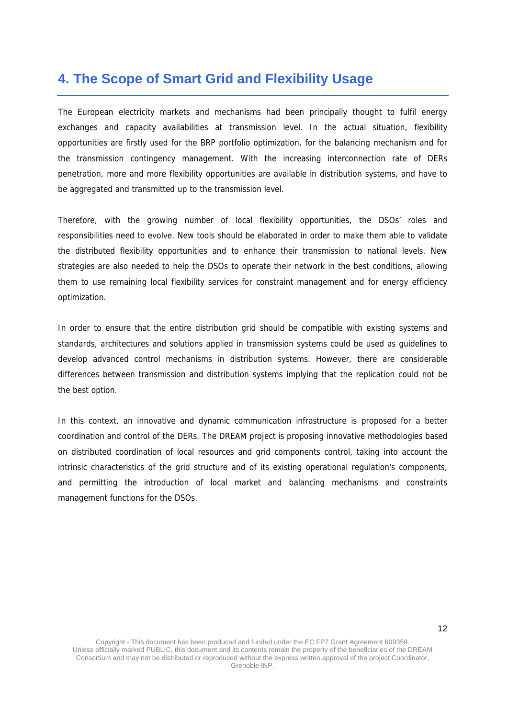## **4. The Scope of Smart Grid and Flexibility Usage**

The European electricity markets and mechanisms had been principally thought to fulfil energy exchanges and capacity availabilities at transmission level. In the actual situation, flexibility opportunities are firstly used for the BRP portfolio optimization, for the balancing mechanism and for the transmission contingency management. With the increasing interconnection rate of DERs penetration, more and more flexibility opportunities are available in distribution systems, and have to be aggregated and transmitted up to the transmission level.

Therefore, with the growing number of local flexibility opportunities, the DSOs' roles and responsibilities need to evolve. New tools should be elaborated in order to make them able to validate the distributed flexibility opportunities and to enhance their transmission to national levels. New strategies are also needed to help the DSOs to operate their network in the best conditions, allowing them to use remaining local flexibility services for constraint management and for energy efficiency optimization.

In order to ensure that the entire distribution grid should be compatible with existing systems and standards, architectures and solutions applied in transmission systems could be used as guidelines to develop advanced control mechanisms in distribution systems. However, there are considerable differences between transmission and distribution systems implying that the replication could not be the best option.

In this context, an innovative and dynamic communication infrastructure is proposed for a better coordination and control of the DERs. The DREAM project is proposing innovative methodologies based on distributed coordination of local resources and grid components control, taking into account the intrinsic characteristics of the grid structure and of its existing operational regulation's components, and permitting the introduction of local market and balancing mechanisms and constraints management functions for the DSOs.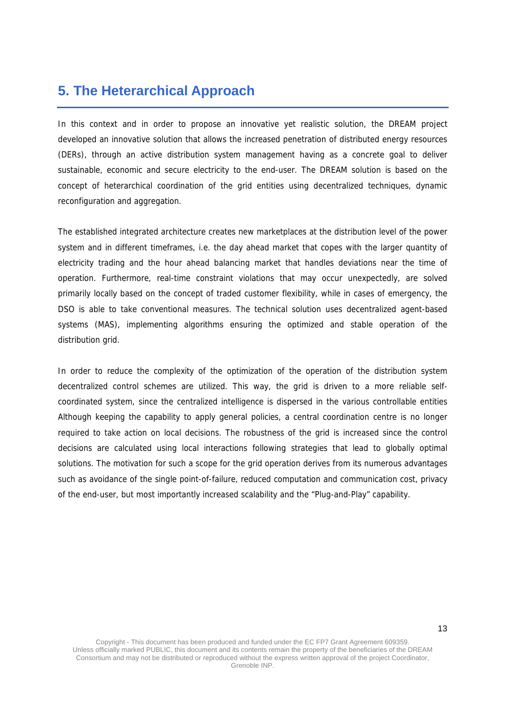## **5. The Heterarchical Approach**

In this context and in order to propose an innovative yet realistic solution, the DREAM project developed an innovative solution that allows the increased penetration of distributed energy resources (DERs), through an active distribution system management having as a concrete goal to deliver sustainable, economic and secure electricity to the end-user. The DREAM solution is based on the concept of heterarchical coordination of the grid entities using decentralized techniques, dynamic reconfiguration and aggregation.

The established integrated architecture creates new marketplaces at the distribution level of the power system and in different timeframes, i.e. the day ahead market that copes with the larger quantity of electricity trading and the hour ahead balancing market that handles deviations near the time of operation. Furthermore, real-time constraint violations that may occur unexpectedly, are solved primarily locally based on the concept of traded customer flexibility, while in cases of emergency, the DSO is able to take conventional measures. The technical solution uses decentralized agent-based systems (MAS), implementing algorithms ensuring the optimized and stable operation of the distribution grid.

In order to reduce the complexity of the optimization of the operation of the distribution system decentralized control schemes are utilized. This way, the grid is driven to a more reliable selfcoordinated system, since the centralized intelligence is dispersed in the various controllable entities Although keeping the capability to apply general policies, a central coordination centre is no longer required to take action on local decisions. The robustness of the grid is increased since the control decisions are calculated using local interactions following strategies that lead to globally optimal solutions. The motivation for such a scope for the grid operation derives from its numerous advantages such as avoidance of the single point-of-failure, reduced computation and communication cost, privacy of the end-user, but most importantly increased scalability and the "Plug-and-Play" capability.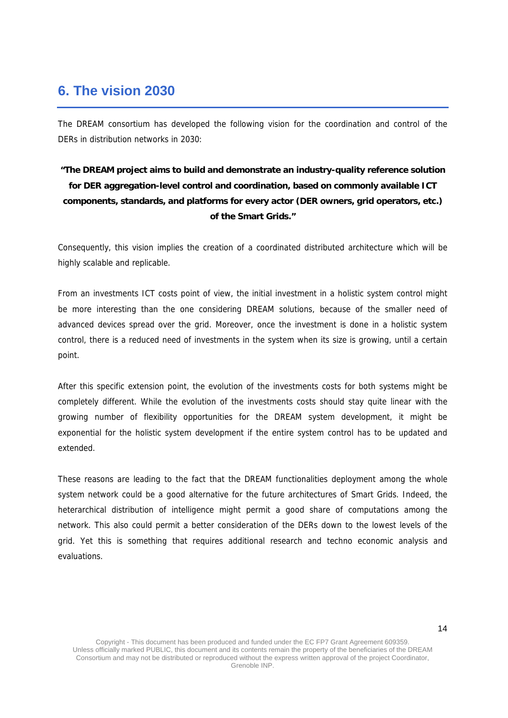## **6. The vision 2030**

The DREAM consortium has developed the following vision for the coordination and control of the DERs in distribution networks in 2030:

### **"The DREAM project aims to build and demonstrate an industry-quality reference solution for DER aggregation-level control and coordination, based on commonly available ICT components, standards, and platforms for every actor (DER owners, grid operators, etc.) of the Smart Grids."**

Consequently, this vision implies the creation of a coordinated distributed architecture which will be highly scalable and replicable.

From an investments ICT costs point of view, the initial investment in a holistic system control might be more interesting than the one considering DREAM solutions, because of the smaller need of advanced devices spread over the grid. Moreover, once the investment is done in a holistic system control, there is a reduced need of investments in the system when its size is growing, until a certain point.

After this specific extension point, the evolution of the investments costs for both systems might be completely different. While the evolution of the investments costs should stay quite linear with the growing number of flexibility opportunities for the DREAM system development, it might be exponential for the holistic system development if the entire system control has to be updated and extended.

These reasons are leading to the fact that the DREAM functionalities deployment among the whole system network could be a good alternative for the future architectures of Smart Grids. Indeed, the heterarchical distribution of intelligence might permit a good share of computations among the network. This also could permit a better consideration of the DERs down to the lowest levels of the grid. Yet this is something that requires additional research and techno economic analysis and evaluations.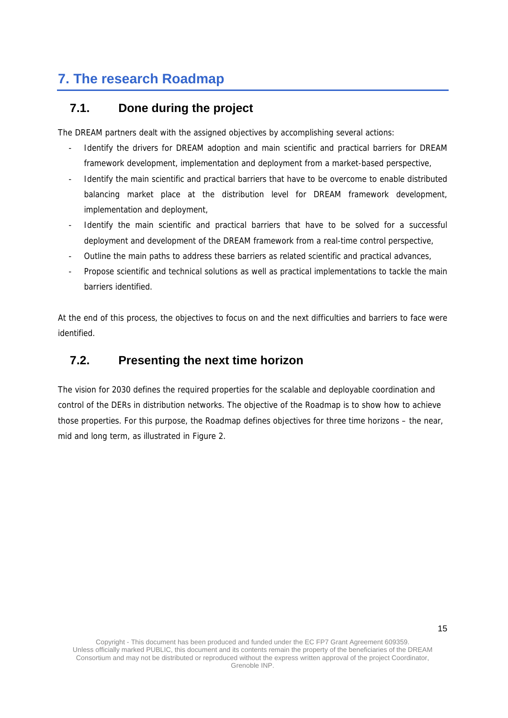# **7. The research Roadmap**

### **7.1. Done during the project**

The DREAM partners dealt with the assigned objectives by accomplishing several actions:

- Identify the drivers for DREAM adoption and main scientific and practical barriers for DREAM framework development, implementation and deployment from a market-based perspective,
- Identify the main scientific and practical barriers that have to be overcome to enable distributed balancing market place at the distribution level for DREAM framework development, implementation and deployment,
- Identify the main scientific and practical barriers that have to be solved for a successful deployment and development of the DREAM framework from a real-time control perspective,
- Outline the main paths to address these barriers as related scientific and practical advances,
- Propose scientific and technical solutions as well as practical implementations to tackle the main barriers identified.

At the end of this process, the objectives to focus on and the next difficulties and barriers to face were identified.

### **7.2. Presenting the next time horizon**

The vision for 2030 defines the required properties for the scalable and deployable coordination and control of the DERs in distribution networks. The objective of the Roadmap is to show how to achieve those properties. For this purpose, the Roadmap defines objectives for three time horizons – the near, mid and long term, as illustrated in Figure 2.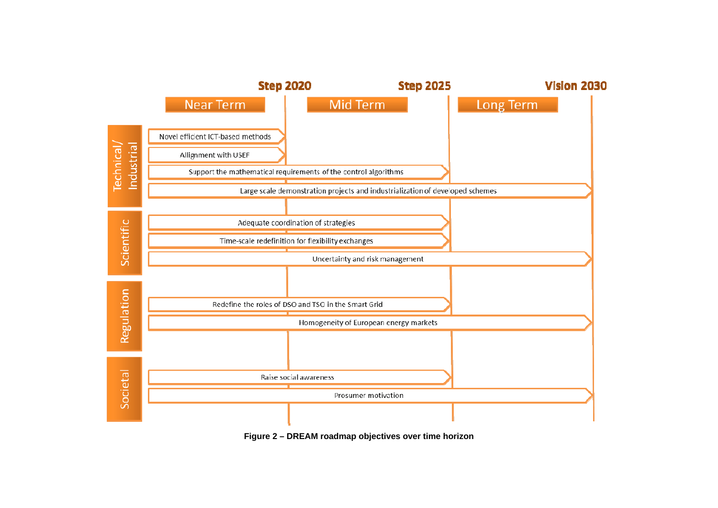

**Figure 2 – DREAM roadmap objectives over time horizon**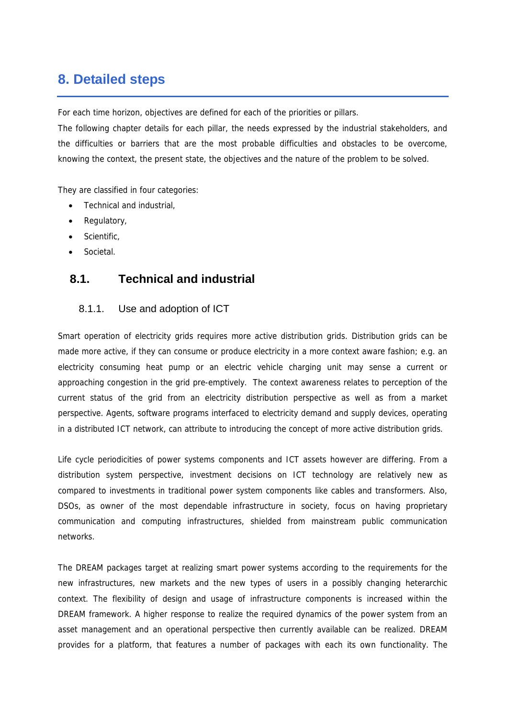## **8. Detailed steps**

For each time horizon, objectives are defined for each of the priorities or pillars.

The following chapter details for each pillar, the needs expressed by the industrial stakeholders, and the difficulties or barriers that are the most probable difficulties and obstacles to be overcome, knowing the context, the present state, the objectives and the nature of the problem to be solved.

They are classified in four categories:

- Technical and industrial,
- Regulatory,
- Scientific,
- Societal.

### **8.1. Technical and industrial**

#### 8.1.1. Use and adoption of ICT

Smart operation of electricity grids requires more active distribution grids. Distribution grids can be made more active, if they can consume or produce electricity in a more context aware fashion; e.g. an electricity consuming heat pump or an electric vehicle charging unit may sense a current or approaching congestion in the grid pre-emptively. The context awareness relates to perception of the current status of the grid from an electricity distribution perspective as well as from a market perspective. Agents, software programs interfaced to electricity demand and supply devices, operating in a distributed ICT network, can attribute to introducing the concept of more active distribution grids.

Life cycle periodicities of power systems components and ICT assets however are differing. From a distribution system perspective, investment decisions on ICT technology are relatively new as compared to investments in traditional power system components like cables and transformers. Also, DSOs, as owner of the most dependable infrastructure in society, focus on having proprietary communication and computing infrastructures, shielded from mainstream public communication networks.

The DREAM packages target at realizing smart power systems according to the requirements for the new infrastructures, new markets and the new types of users in a possibly changing heterarchic context. The flexibility of design and usage of infrastructure components is increased within the DREAM framework. A higher response to realize the required dynamics of the power system from an asset management and an operational perspective then currently available can be realized. DREAM provides for a platform, that features a number of packages with each its own functionality. The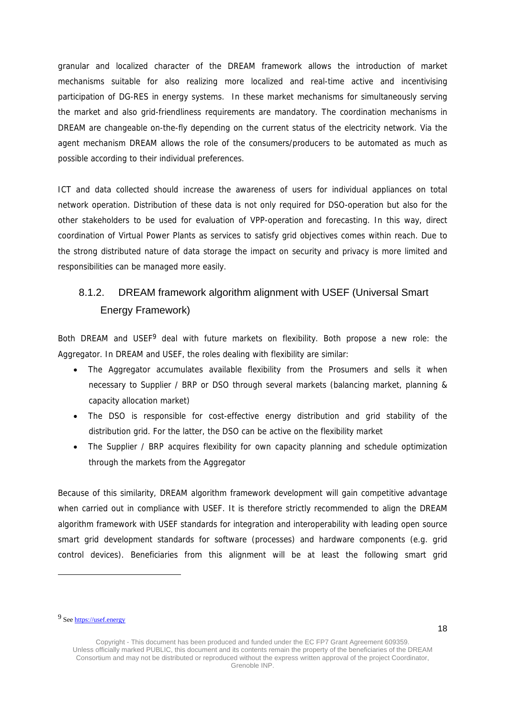granular and localized character of the DREAM framework allows the introduction of market mechanisms suitable for also realizing more localized and real-time active and incentivising participation of DG-RES in energy systems. In these market mechanisms for simultaneously serving the market and also grid-friendliness requirements are mandatory. The coordination mechanisms in DREAM are changeable on-the-fly depending on the current status of the electricity network. Via the agent mechanism DREAM allows the role of the consumers/producers to be automated as much as possible according to their individual preferences.

ICT and data collected should increase the awareness of users for individual appliances on total network operation. Distribution of these data is not only required for DSO-operation but also for the other stakeholders to be used for evaluation of VPP-operation and forecasting. In this way, direct coordination of Virtual Power Plants as services to satisfy grid objectives comes within reach. Due to the strong distributed nature of data storage the impact on security and privacy is more limited and responsibilities can be managed more easily.

## 8.1.2. DREAM framework algorithm alignment with USEF (Universal Smart Energy Framework)

Both DREAM and USEF<sup>9</sup> deal with future markets on flexibility. Both propose a new role: the Aggregator. In DREAM and USEF, the roles dealing with flexibility are similar:

- The Aggregator accumulates available flexibility from the Prosumers and sells it when necessary to Supplier / BRP or DSO through several markets (balancing market, planning & capacity allocation market)
- The DSO is responsible for cost-effective energy distribution and grid stability of the distribution grid. For the latter, the DSO can be active on the flexibility market
- The Supplier / BRP acquires flexibility for own capacity planning and schedule optimization through the markets from the Aggregator

Because of this similarity, DREAM algorithm framework development will gain competitive advantage when carried out in compliance with USEF. It is therefore strictly recommended to align the DREAM algorithm framework with USEF standards for integration and interoperability with leading open source smart grid development standards for software (processes) and hardware components (e.g. grid control devices). Beneficiaries from this alignment will be at least the following smart grid

l

<sup>9</sup> See https://usef.energy

Copyright - This document has been produced and funded under the EC FP7 Grant Agreement 609359. Unless officially marked PUBLIC, this document and its contents remain the property of the beneficiaries of the DREAM Consortium and may not be distributed or reproduced without the express written approval of the project Coordinator, Grenoble INP.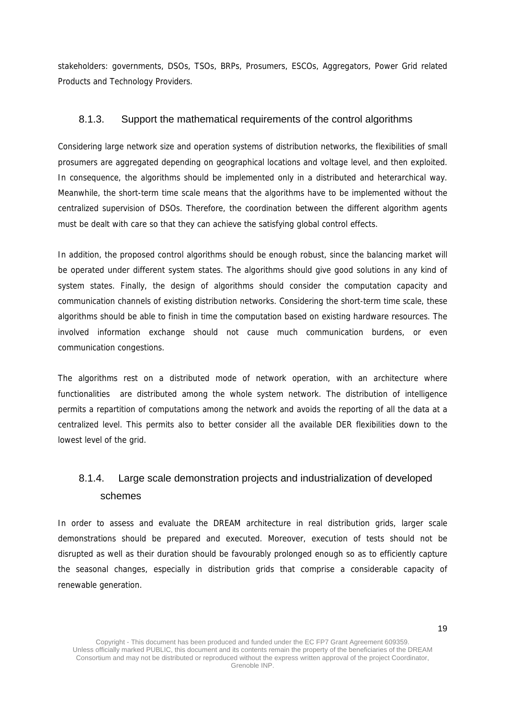stakeholders: governments, DSOs, TSOs, BRPs, Prosumers, ESCOs, Aggregators, Power Grid related Products and Technology Providers.

#### 8.1.3. Support the mathematical requirements of the control algorithms

Considering large network size and operation systems of distribution networks, the flexibilities of small prosumers are aggregated depending on geographical locations and voltage level, and then exploited. In consequence, the algorithms should be implemented only in a distributed and heterarchical way. Meanwhile, the short-term time scale means that the algorithms have to be implemented without the centralized supervision of DSOs. Therefore, the coordination between the different algorithm agents must be dealt with care so that they can achieve the satisfying global control effects.

In addition, the proposed control algorithms should be enough robust, since the balancing market will be operated under different system states. The algorithms should give good solutions in any kind of system states. Finally, the design of algorithms should consider the computation capacity and communication channels of existing distribution networks. Considering the short-term time scale, these algorithms should be able to finish in time the computation based on existing hardware resources. The involved information exchange should not cause much communication burdens, or even communication congestions.

The algorithms rest on a distributed mode of network operation, with an architecture where functionalities are distributed among the whole system network. The distribution of intelligence permits a repartition of computations among the network and avoids the reporting of all the data at a centralized level. This permits also to better consider all the available DER flexibilities down to the lowest level of the grid.

## 8.1.4. Large scale demonstration projects and industrialization of developed schemes

In order to assess and evaluate the DREAM architecture in real distribution grids, larger scale demonstrations should be prepared and executed. Moreover, execution of tests should not be disrupted as well as their duration should be favourably prolonged enough so as to efficiently capture the seasonal changes, especially in distribution grids that comprise a considerable capacity of renewable generation.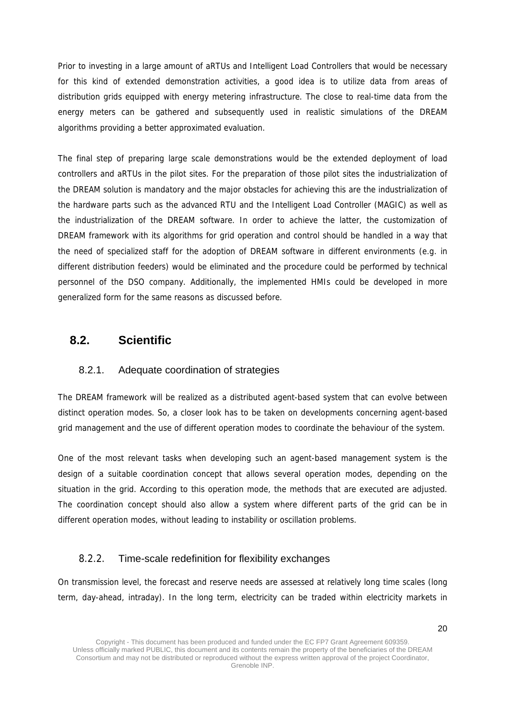Prior to investing in a large amount of aRTUs and Intelligent Load Controllers that would be necessary for this kind of extended demonstration activities, a good idea is to utilize data from areas of distribution grids equipped with energy metering infrastructure. The close to real-time data from the energy meters can be gathered and subsequently used in realistic simulations of the DREAM algorithms providing a better approximated evaluation.

The final step of preparing large scale demonstrations would be the extended deployment of load controllers and aRTUs in the pilot sites. For the preparation of those pilot sites the industrialization of the DREAM solution is mandatory and the major obstacles for achieving this are the industrialization of the hardware parts such as the advanced RTU and the Intelligent Load Controller (MAGIC) as well as the industrialization of the DREAM software. In order to achieve the latter, the customization of DREAM framework with its algorithms for grid operation and control should be handled in a way that the need of specialized staff for the adoption of DREAM software in different environments (e.g. in different distribution feeders) would be eliminated and the procedure could be performed by technical personnel of the DSO company. Additionally, the implemented HMIs could be developed in more generalized form for the same reasons as discussed before.

### **8.2. Scientific**

### 8.2.1. Adequate coordination of strategies

The DREAM framework will be realized as a distributed agent-based system that can evolve between distinct operation modes. So, a closer look has to be taken on developments concerning agent-based grid management and the use of different operation modes to coordinate the behaviour of the system.

One of the most relevant tasks when developing such an agent-based management system is the design of a suitable coordination concept that allows several operation modes, depending on the situation in the grid. According to this operation mode, the methods that are executed are adjusted. The coordination concept should also allow a system where different parts of the grid can be in different operation modes, without leading to instability or oscillation problems.

#### 8.2.2. Time-scale redefinition for flexibility exchanges

On transmission level, the forecast and reserve needs are assessed at relatively long time scales (long term, day-ahead, intraday). In the long term, electricity can be traded within electricity markets in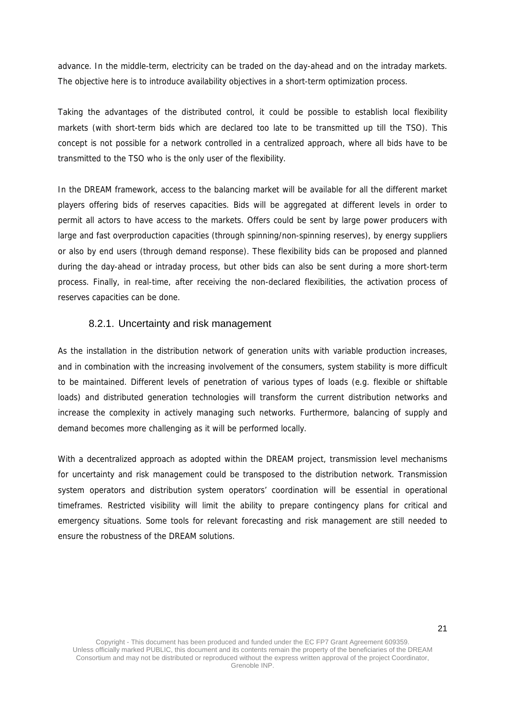advance. In the middle-term, electricity can be traded on the day-ahead and on the intraday markets. The objective here is to introduce availability objectives in a short-term optimization process.

Taking the advantages of the distributed control, it could be possible to establish local flexibility markets (with short-term bids which are declared too late to be transmitted up till the TSO). This concept is not possible for a network controlled in a centralized approach, where all bids have to be transmitted to the TSO who is the only user of the flexibility.

In the DREAM framework, access to the balancing market will be available for all the different market players offering bids of reserves capacities. Bids will be aggregated at different levels in order to permit all actors to have access to the markets. Offers could be sent by large power producers with large and fast overproduction capacities (through spinning/non-spinning reserves), by energy suppliers or also by end users (through demand response). These flexibility bids can be proposed and planned during the day-ahead or intraday process, but other bids can also be sent during a more short-term process. Finally, in real-time, after receiving the non-declared flexibilities, the activation process of reserves capacities can be done.

#### 8.2.1. Uncertainty and risk management

As the installation in the distribution network of generation units with variable production increases, and in combination with the increasing involvement of the consumers, system stability is more difficult to be maintained. Different levels of penetration of various types of loads (e.g. flexible or shiftable loads) and distributed generation technologies will transform the current distribution networks and increase the complexity in actively managing such networks. Furthermore, balancing of supply and demand becomes more challenging as it will be performed locally.

With a decentralized approach as adopted within the DREAM project, transmission level mechanisms for uncertainty and risk management could be transposed to the distribution network. Transmission system operators and distribution system operators' coordination will be essential in operational timeframes. Restricted visibility will limit the ability to prepare contingency plans for critical and emergency situations. Some tools for relevant forecasting and risk management are still needed to ensure the robustness of the DREAM solutions.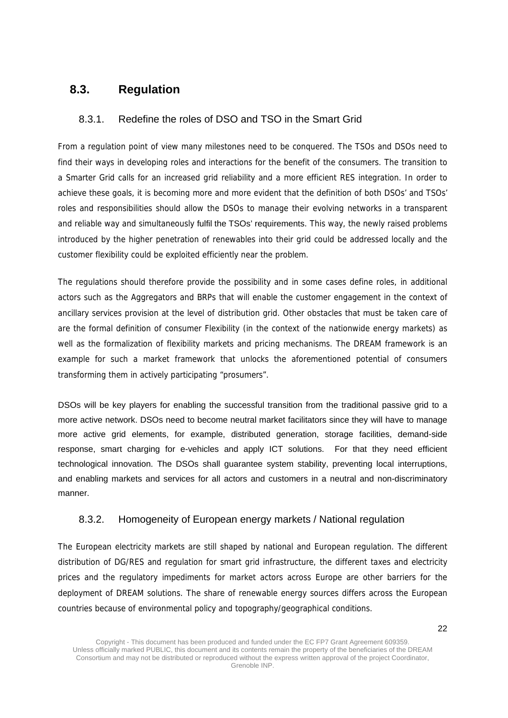### **8.3. Regulation**

### 8.3.1. Redefine the roles of DSO and TSO in the Smart Grid

From a regulation point of view many milestones need to be conquered. The TSOs and DSOs need to find their ways in developing roles and interactions for the benefit of the consumers. The transition to a Smarter Grid calls for an increased grid reliability and a more efficient RES integration. In order to achieve these goals, it is becoming more and more evident that the definition of both DSOs' and TSOs' roles and responsibilities should allow the DSOs to manage their evolving networks in a transparent and reliable way and simultaneously fulfil the TSOs' requirements. This way, the newly raised problems introduced by the higher penetration of renewables into their grid could be addressed locally and the customer flexibility could be exploited efficiently near the problem.

The regulations should therefore provide the possibility and in some cases define roles, in additional actors such as the Aggregators and BRPs that will enable the customer engagement in the context of ancillary services provision at the level of distribution grid. Other obstacles that must be taken care of are the formal definition of consumer Flexibility (in the context of the nationwide energy markets) as well as the formalization of flexibility markets and pricing mechanisms. The DREAM framework is an example for such a market framework that unlocks the aforementioned potential of consumers transforming them in actively participating "prosumers".

DSOs will be key players for enabling the successful transition from the traditional passive grid to a more active network. DSOs need to become neutral market facilitators since they will have to manage more active grid elements, for example, distributed generation, storage facilities, demand-side response, smart charging for e-vehicles and apply ICT solutions. For that they need efficient technological innovation. The DSOs shall guarantee system stability, preventing local interruptions, and enabling markets and services for all actors and customers in a neutral and non-discriminatory manner.

### 8.3.2. Homogeneity of European energy markets / National regulation

The European electricity markets are still shaped by national and European regulation. The different distribution of DG/RES and regulation for smart grid infrastructure, the different taxes and electricity prices and the regulatory impediments for market actors across Europe are other barriers for the deployment of DREAM solutions. The share of renewable energy sources differs across the European countries because of environmental policy and topography/geographical conditions.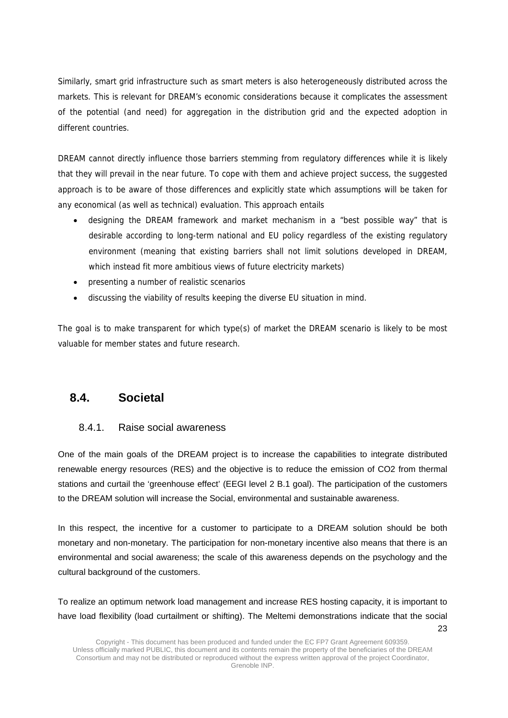Similarly, smart grid infrastructure such as smart meters is also heterogeneously distributed across the markets. This is relevant for DREAM's economic considerations because it complicates the assessment of the potential (and need) for aggregation in the distribution grid and the expected adoption in different countries.

DREAM cannot directly influence those barriers stemming from regulatory differences while it is likely that they will prevail in the near future. To cope with them and achieve project success, the suggested approach is to be aware of those differences and explicitly state which assumptions will be taken for any economical (as well as technical) evaluation. This approach entails

- designing the DREAM framework and market mechanism in a "best possible way" that is desirable according to long-term national and EU policy regardless of the existing regulatory environment (meaning that existing barriers shall not limit solutions developed in DREAM, which instead fit more ambitious views of future electricity markets)
- presenting a number of realistic scenarios
- discussing the viability of results keeping the diverse EU situation in mind.

The goal is to make transparent for which type(s) of market the DREAM scenario is likely to be most valuable for member states and future research.

### **8.4. Societal**

### 8.4.1. Raise social awareness

One of the main goals of the DREAM project is to increase the capabilities to integrate distributed renewable energy resources (RES) and the objective is to reduce the emission of CO2 from thermal stations and curtail the 'greenhouse effect' (EEGI level 2 B.1 goal). The participation of the customers to the DREAM solution will increase the Social, environmental and sustainable awareness.

In this respect, the incentive for a customer to participate to a DREAM solution should be both monetary and non-monetary. The participation for non-monetary incentive also means that there is an environmental and social awareness; the scale of this awareness depends on the psychology and the cultural background of the customers.

 $23$ To realize an optimum network load management and increase RES hosting capacity, it is important to have load flexibility (load curtailment or shifting). The Meltemi demonstrations indicate that the social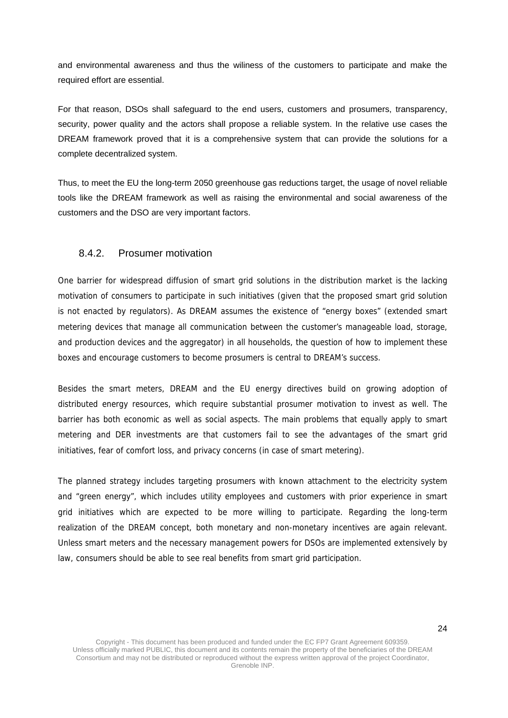and environmental awareness and thus the wiliness of the customers to participate and make the required effort are essential.

For that reason, DSOs shall safeguard to the end users, customers and prosumers, transparency, security, power quality and the actors shall propose a reliable system. In the relative use cases the DREAM framework proved that it is a comprehensive system that can provide the solutions for a complete decentralized system.

Thus, to meet the EU the long-term 2050 greenhouse gas reductions target, the usage of novel reliable tools like the DREAM framework as well as raising the environmental and social awareness of the customers and the DSO are very important factors.

#### 8.4.2. Prosumer motivation

One barrier for widespread diffusion of smart grid solutions in the distribution market is the lacking motivation of consumers to participate in such initiatives (given that the proposed smart grid solution is not enacted by regulators). As DREAM assumes the existence of "energy boxes" (extended smart metering devices that manage all communication between the customer's manageable load, storage, and production devices and the aggregator) in all households, the question of how to implement these boxes and encourage customers to become prosumers is central to DREAM's success.

Besides the smart meters, DREAM and the EU energy directives build on growing adoption of distributed energy resources, which require substantial prosumer motivation to invest as well. The barrier has both economic as well as social aspects. The main problems that equally apply to smart metering and DER investments are that customers fail to see the advantages of the smart grid initiatives, fear of comfort loss, and privacy concerns (in case of smart metering).

The planned strategy includes targeting prosumers with known attachment to the electricity system and "green energy", which includes utility employees and customers with prior experience in smart grid initiatives which are expected to be more willing to participate. Regarding the long-term realization of the DREAM concept, both monetary and non-monetary incentives are again relevant. Unless smart meters and the necessary management powers for DSOs are implemented extensively by law, consumers should be able to see real benefits from smart grid participation.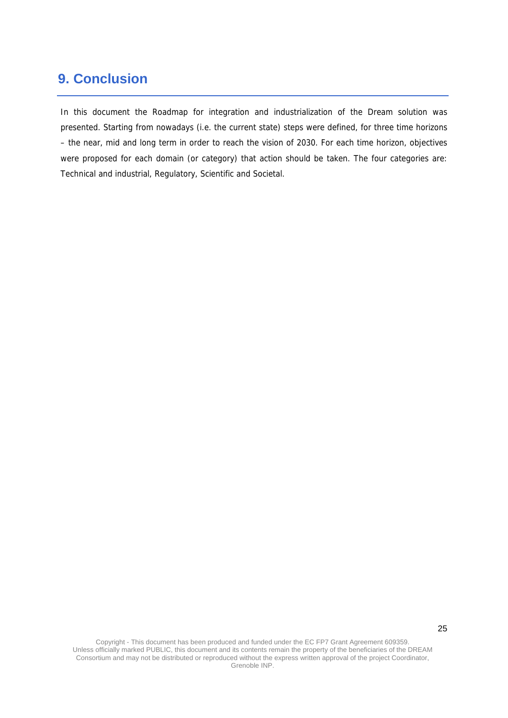## **9. Conclusion**

In this document the Roadmap for integration and industrialization of the Dream solution was presented. Starting from nowadays (i.e. the current state) steps were defined, for three time horizons – the near, mid and long term in order to reach the vision of 2030. For each time horizon, objectives were proposed for each domain (or category) that action should be taken. The four categories are: Technical and industrial, Regulatory, Scientific and Societal.